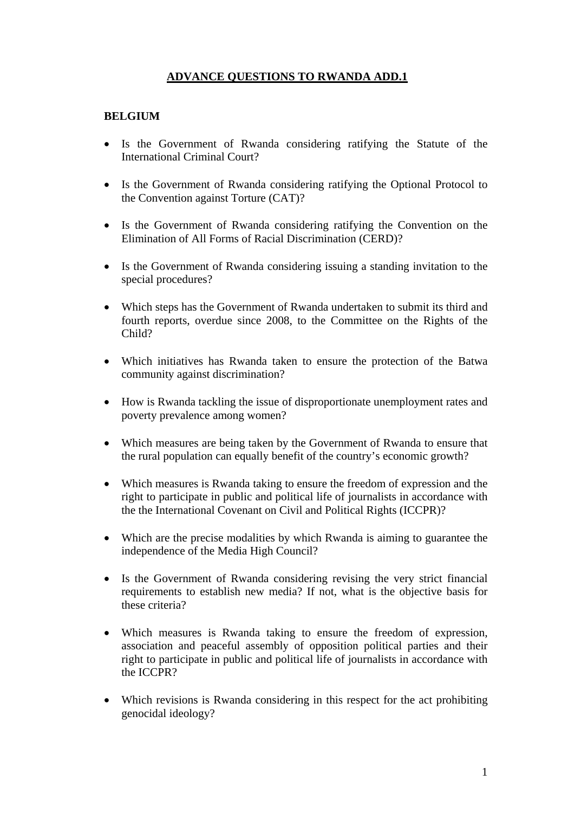# **ADVANCE QUESTIONS TO RWANDA ADD.1**

### **BELGIUM**

- Is the Government of Rwanda considering ratifying the Statute of the International Criminal Court?
- Is the Government of Rwanda considering ratifying the Optional Protocol to the Convention against Torture (CAT)?
- Is the Government of Rwanda considering ratifying the Convention on the Elimination of All Forms of Racial Discrimination (CERD)?
- Is the Government of Rwanda considering issuing a standing invitation to the special procedures?
- Which steps has the Government of Rwanda undertaken to submit its third and fourth reports, overdue since 2008, to the Committee on the Rights of the Child?
- Which initiatives has Rwanda taken to ensure the protection of the Batwa community against discrimination?
- How is Rwanda tackling the issue of disproportionate unemployment rates and poverty prevalence among women?
- Which measures are being taken by the Government of Rwanda to ensure that the rural population can equally benefit of the country's economic growth?
- Which measures is Rwanda taking to ensure the freedom of expression and the right to participate in public and political life of journalists in accordance with the the International Covenant on Civil and Political Rights (ICCPR)?
- Which are the precise modalities by which Rwanda is aiming to guarantee the independence of the Media High Council?
- Is the Government of Rwanda considering revising the very strict financial requirements to establish new media? If not, what is the objective basis for these criteria?
- Which measures is Rwanda taking to ensure the freedom of expression, association and peaceful assembly of opposition political parties and their right to participate in public and political life of journalists in accordance with the ICCPR?
- Which revisions is Rwanda considering in this respect for the act prohibiting genocidal ideology?